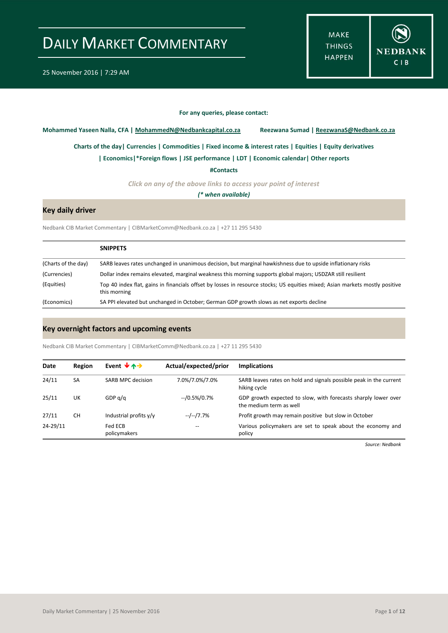**MAKE THINGS HAPPEN** 



#### **For any queries, please contact:**

<span id="page-0-0"></span>**Mohammed Yaseen Nalla, CFA | MohammedN@Nedbankcapital.co.za Reezwana Sumad | ReezwanaS@Nedbank.co.za**

**[Charts of the day|](#page-1-0) [Currencies](#page-2-0) [| Commodities](#page-3-0) | [Fixed income & interest rates](#page-4-0) [| Equities](#page-5-0) | Equity derivatives**

**[| Economics|](#page-6-0)\*Foreign flows | [JSE performance](#page-7-0) [| LDT](#page-8-0) [| Economic calendar|](#page-9-0) Other reports** 

**[#Contacts](#page-10-0)**

*Click on any of the above links to access your point of interest*

*(\* when available)*

### **Key daily driver**

Nedbank CIB Market Commentary | CIBMarketComm@Nedbank.co.za | +27 11 295 5430

|                     | <b>SNIPPETS</b>                                                                                                                              |
|---------------------|----------------------------------------------------------------------------------------------------------------------------------------------|
| (Charts of the day) | SARB leaves rates unchanged in unanimous decision, but marginal hawkishness due to upside inflationary risks                                 |
| (Currencies)        | Dollar index remains elevated, marginal weakness this morning supports global majors; USDZAR still resilient                                 |
| (Equities)          | Top 40 index flat, gains in financials offset by losses in resource stocks; US equities mixed; Asian markets mostly positive<br>this morning |
| (Economics)         | SA PPI elevated but unchanged in October; German GDP growth slows as net exports decline                                                     |

### **Key overnight factors and upcoming events**

Nedbank CIB Market Commentary | CIBMarketComm@Nedbank.co.za | +27 11 295 5430

| Date     | Region | Event $\forall$ $\land \rightarrow$ | Actual/expected/prior | <b>Implications</b>                                                                       |
|----------|--------|-------------------------------------|-----------------------|-------------------------------------------------------------------------------------------|
| 24/11    | SA     | SARB MPC decision                   | 7.0%/7.0%/7.0%        | SARB leaves rates on hold and signals possible peak in the current<br>hiking cycle        |
| 25/11    | UK     | GDP $q/q$                           | $-$ /0.5%/0.7%        | GDP growth expected to slow, with forecasts sharply lower over<br>the medium term as well |
| 27/11    | CН     | Industrial profits y/y              | --/--/7.7%            | Profit growth may remain positive but slow in October                                     |
| 24-29/11 |        | Fed ECB<br>policymakers             | --                    | Various policymakers are set to speak about the economy and<br>policy                     |

*Source: Nedbank*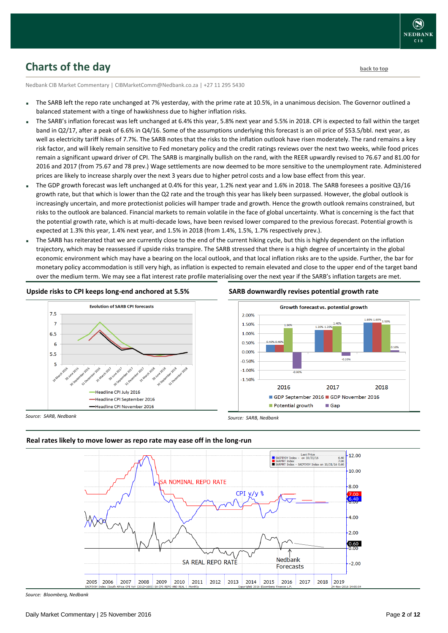

## <span id="page-1-0"></span>**Charts of the day** [back to top](#page-0-0) back to top

Nedbank CIB Market Commentary | CIBMarketComm@Nedbank.co.za | +27 11 295 5430

- The SARB left the repo rate unchanged at 7% yesterday, with the prime rate at 10.5%, in a unanimous decision. The Governor outlined a balanced statement with a tinge of hawkishness due to higher inflation risks.
- The SARB's inflation forecast was left unchanged at 6.4% this year, 5.8% next year and 5.5% in 2018. CPI is expected to fall within the target band in Q2/17, after a peak of 6.6% in Q4/16. Some of the assumptions underlying this forecast is an oil price of \$53.5/bbl. next year, as well as electricity tariff hikes of 7.7%. The SARB notes that the risks to the inflation outlook have risen moderately. The rand remains a key risk factor, and will likely remain sensitive to Fed monetary policy and the credit ratings reviews over the next two weeks, while food prices remain a significant upward driver of CPI. The SARB is marginally bullish on the rand, with the REER upwardly revised to 76.67 and 81.00 for 2016 and 2017 (from 75.67 and 78 prev.) Wage settlements are now deemed to be more sensitive to the unemployment rate. Administered prices are likely to increase sharply over the next 3 years due to higher petrol costs and a low base effect from this year.
- The GDP growth forecast was left unchanged at 0.4% for this year, 1.2% next year and 1.6% in 2018. The SARB foresees a positive Q3/16 growth rate, but that which is lower than the Q2 rate and the trough this year has likely been surpassed. However, the global outlook is increasingly uncertain, and more protectionist policies will hamper trade and growth. Hence the growth outlook remains constrained, but risks to the outlook are balanced. Financial markets to remain volatile in the face of global uncertainty. What is concerning is the fact that the potential growth rate, which is at multi-decade lows, have been revised lower compared to the previous forecast. Potential growth is expected at 1.3% this year, 1.4% next year, and 1.5% in 2018 (from 1.4%, 1.5%, 1.7% respectively prev.).
- The SARB has reiterated that we are currently close to the end of the current hiking cycle, but this is highly dependent on the inflation trajectory, which may be reassessed if upside risks transpire. The SARB stressed that there is a high degree of uncertainty in the global economic environment which may have a bearing on the local outlook, and that local inflation risks are to the upside. Further, the bar for monetary policy accommodation is still very high, as inflation is expected to remain elevated and close to the upper end of the target band over the medium term. We may see a flat interest rate profile materialising over the next year if the SARB's inflation targets are met.

#### **Upside risks to CPI keeps long-end anchored at 5.5%**



#### **SARB downwardly revises potential growth rate**



*Source: SARB, Nedbank*



#### **Real rates likely to move lower as repo rate may ease off in the long-run**

*Source: Bloomberg, Nedbank*

*Source: SARB, Nedbank*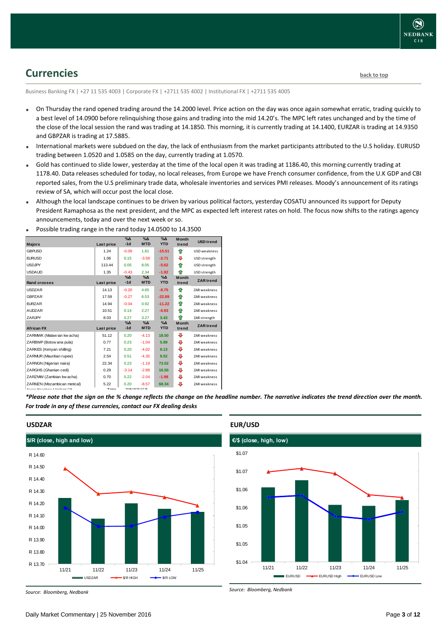## <span id="page-2-0"></span>**Currencies [back to top](#page-0-0)**

Business Banking FX | +27 11 535 4003 | Corporate FX | +2711 535 4002 | Institutional FX | +2711 535 4005

- On Thursday the rand opened trading around the 14.2000 level. Price action on the day was once again somewhat erratic, trading quickly to a best level of 14.0900 before relinquishing those gains and trading into the mid 14.20's. The MPC left rates unchanged and by the time of the close of the local session the rand was trading at 14.1850. This morning, it is currently trading at 14.1400, EURZAR is trading at 14.9350 and GBPZAR is trading at 17.5885.
- International markets were subdued on the day, the lack of enthusiasm from the market participants attributed to the U.S holiday. EURUSD trading between 1.0520 and 1.0585 on the day, currently trading at 1.0570.
- Gold has continued to slide lower, yesterday at the time of the local open it was trading at 1186.40, this morning currently trading at 1178.40. Data releases scheduled for today, no local releases, from Europe we have French consumer confidence, from the U.K GDP and CBI reported sales, from the U.S preliminary trade data, wholesale inventories and services PMI releases. Moody's announcement of its ratings review of SA, which will occur post the local close.
- Although the local landscape continues to be driven by various political factors, yesterday COSATU announced its support for Deputy President Ramaphosa as the next president, and the MPC as expected left interest rates on hold. The focus now shifts to the ratings agency announcements, today and over the next week or so.

|                                                   |                             | $\sqrt{2}$    | $\overline{\%}\Delta$       | $\sqrt{\Delta}$ |                       |                     |
|---------------------------------------------------|-----------------------------|---------------|-----------------------------|-----------------|-----------------------|---------------------|
| <b>Majors</b>                                     | Last price                  | $-1d$         | <b>MTD</b>                  | <b>YTD</b>      | <b>Month</b><br>trend | <b>USD</b> trend    |
| <b>GBPUSD</b>                                     | 1.24                        | $-0.09$       | 1.81                        | $-15.51$        | ⇑                     | <b>USD</b> weakness |
| <b>EURUSD</b>                                     | 1.06                        | 0.15          | $-3.58$                     | $-2.71$         | ⊕                     | USD strength        |
| <b>USDJPY</b>                                     | 113.44                      | 0.05          | 8.05                        | $-5.62$         | ⇑                     | USD strength        |
| <b>USDAUD</b>                                     | 1.35                        | $-0.43$       | 2.34                        | $-1.92$         | ♠                     | USD strength        |
|                                                   |                             | $% \Delta$    | $\%$ $\Delta$               | $\Delta$        | <b>Month</b>          |                     |
| <b>Rand crosses</b>                               | Last price                  | $-1d$         | <b>MTD</b>                  | <b>YTD</b>      | trend                 | <b>ZAR</b> trend    |
| <b>USDZAR</b>                                     | 14.13                       | $-0.20$       | 4.65                        | $-8.75$         | ♠                     | <b>ZAR</b> weakness |
| GBPZAR                                            | 17.59                       | $-0.27$       | 6.53                        | $-22.89$        | ⇑                     | ZAR weakness        |
| <b>FURZAR</b>                                     | 14.94                       | $-0.04$       | 0.92                        | $-11.22$        | ♠                     | <b>ZAR</b> weakness |
| <b>AUDZAR</b>                                     | 10.51                       | 0.14          | 2.27                        | $-6.93$         | ♠                     | <b>ZAR</b> weakness |
| ZARJPY                                            | 8.03                        | 0.27          | 3.27                        | 3.43            | ♠                     | ZAR strength        |
|                                                   |                             | $\%$ $\Delta$ | $\%$ $\Delta$<br><b>MTD</b> | $\Delta$        | Month                 | <b>ZAR</b> trend    |
| <b>African FX</b>                                 | Last price                  | $-1d$         |                             | <b>YTD</b>      | trend                 |                     |
| ZARMWK (Malaw ian kw acha)                        | 51.12                       | 0.20          | $-4.13$                     | 18.50           | ₩                     | <b>ZAR</b> weakness |
| ZARBWP (Botsw ana pula)                           | 0.77                        | 0.23          | $-1.04$                     | 5.89            | ⊕                     | <b>ZAR</b> weakness |
| ZARKES (Kenyan shilling)                          | 7.21                        | 0.20          | $-4.02$                     | 9.13            | ⊕                     | ZAR weakness        |
| ZARMUR (Mauritian rupee)                          | 2.54                        | 0.51          | $-4.35$                     | 9.52            | ⊕                     | <b>ZAR</b> weakness |
| ZARNGN (Nigerian naira)                           | 22.34                       | 0.23          | $-1.19$                     | 73.52           | ⊕                     | <b>ZAR</b> weakness |
| ZARGHS (Ghanian cedi)                             | 0.29                        | $-3.14$       | $-2.88$                     | 16.50           | ⊕                     | <b>ZAR</b> weakness |
| ZARZMW (Zambian kw acha)                          | 0.70                        | 0.22          | $-2.04$                     | $-1.98$         | ⊕                     | <b>ZAR</b> weakness |
| ZARMZN (Mozambican metical)                       | 5.22                        | 0.20          | $-8.57$                     | 68.34           | ⊕                     | ZAR weakness        |
| Correspondent of the production of Alasthania CID | $\mathbf{r}$ : $\mathbf{r}$ |               | 2010/14/25 07:45            |                 |                       |                     |

Possible trading range in the rand today 14.0500 to 14.3500

*\*Please note that the sign on the % change reflects the change on the headline number. The narrative indicates the trend direction over the month. For trade in any of these currencies, contact our FX dealing desks*



### **USDZAR**



#### **EUR/USD**

*Source: Bloomberg, Nedbank*

*Source: Bloomberg, Nedbank*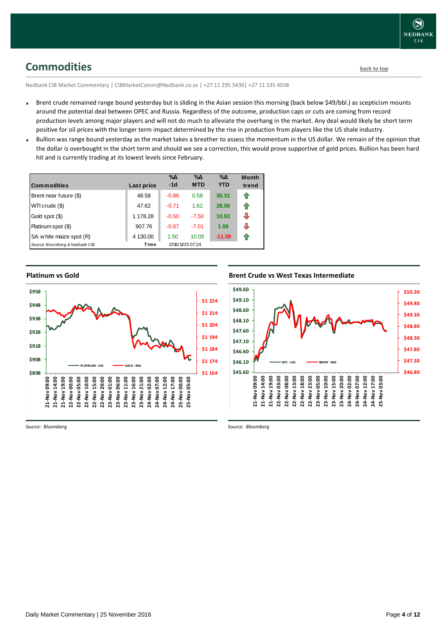<span id="page-3-0"></span>Nedbank CIB Market Commentary | CIBMarketComm@Nedbank.co.za | +27 11 295 5430| +27 11 535 4038

- Brent crude remained range bound yesterday but is sliding in the Asian session this morning (back below \$49/bbl.) as scepticism mounts around the potential deal between OPEC and Russia. Regardless of the outcome, production caps or cuts are coming from record production levels among major players and will not do much to alleviate the overhang in the market. Any deal would likely be short term positive for oil prices with the longer term impact determined by the rise in production from players like the US shale industry.
- Bullion was range bound vesterday as the market takes a breather to assess the momentum in the US dollar. We remain of the opinion that the dollar is overbought in the short term and should we see a correction, this would prove supportive of gold prices. Bullion has been hard hit and is currently trading at its lowest levels since February.

| <b>Commodities</b>              | Last price | $\% \Delta$<br>$-1d$ | $\% \Delta$<br><b>MTD</b> | $\% \Delta$<br><b>YTD</b> | <b>Month</b><br>trend |
|---------------------------------|------------|----------------------|---------------------------|---------------------------|-----------------------|
| Brent near future (\$)          | 48.58      | $-0.86$              | 0.58                      | 30.31                     | ⇑                     |
| WTI crude (\$)                  | 47.62      | $-0.71$              | 1.62                      | 28.56                     | ⇑                     |
| Gold spot (\$)                  | 1 178.28   | $-0.50$              | $-7.50$                   | 10.93                     | ⊕                     |
| Platinum spot (\$)              | 907.76     | $-0.67$              | $-7.01$                   | 1.59                      | ⇩                     |
| SA w hite maize spot (R)        | 4 130.00   | 1.50                 | 10.05                     | $-11.39$                  | €                     |
| Source: Bloomberg & Nedbank CIB | Time       |                      | 2016/11/25 07:24          |                           |                       |

**Platinum vs Gold**



**Brent Crude vs West Texas Intermediate Brent Crude vs West Texas Intermediate** 



*Source: Bloomberg*

*Source: Bloomberg*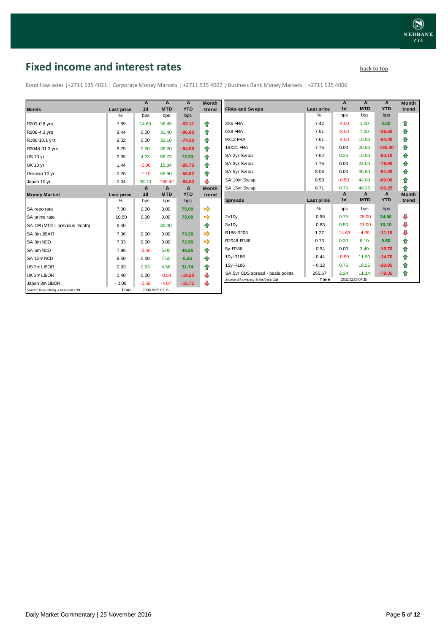## <span id="page-4-0"></span>**Fixed income and interest rates back to the line of the set of the set of the set of the set of the set of the set of the set of the set of the set of the set of the set of the set of the set of the set of the set of th**

Bond flow sales |+2711 535 4021 | Corporate Money Markets | +2711 535 4007 | Business Bank Money Markets | +2711 535 4006

|                                 |            | Δ              | Δ                | Δ          | <b>Month</b> |
|---------------------------------|------------|----------------|------------------|------------|--------------|
| <b>Bonds</b>                    | Last price | 1 <sub>d</sub> | <b>MTD</b>       | <b>YTD</b> | trend        |
|                                 | %          | bps            | bps              | bps        |              |
| R203-0.8 yrs                    | 7.89       | 14.69          | 36.49            | $-63.11$   | ⇑            |
| R208-4.3 yrs                    | 8.44       | 0.00           | 31.40            | $-96.90$   | 合            |
| R186-10.1 yrs                   | 9.02       | 0.00           | 32.10            | $-74.30$   | ⇑            |
| R2048-31.3 yrs                  | 9.75       | 0.30           | 38.20            | $-64.80$   | ⇮            |
| <b>US 10 vr</b>                 | 2.39       | 4.23           | 56.73            | 12.33      | 合            |
| <b>UK 10 yr</b>                 | 1.44       | $-0.90$        | 15.34            | $-26.73$   | ⇑            |
| German 10 yr                    | 0.26       | $-1.15$        | 58.90            | $-58.82$   | ⇑            |
| Japan 10 yr                     | 0.04       | 28.13          | $-185.42$        | $-84.53$   | ⊕            |
|                                 |            | Δ              | $\Delta$         | Δ          | <b>Month</b> |
| <b>Money Market</b>             | Last price | 1 <sub>d</sub> | <b>MTD</b>       | <b>YTD</b> | trend        |
|                                 | $\%$       | bps            | bps              | bps        |              |
| SA repo rate                    | 7.00       | 0.00           | 0.00             | 75.00      | ⇛            |
| SA prime rate                   | 10.50      | 0.00           | 0.00             | 75.00      |              |
| SA CPI (MTD = previous month)   | 6.40       |                | 30.00            |            | ♠            |
| SA 3m JIBAR                     | 7.36       | 0.00           | 0.00             | 73.30      |              |
| SA 3m NCD                       | 7.33       | 0.00           | 0.00             | 72.50      | ⇛            |
| SA 6m NCD                       | 7.98       | $-2.50$        | 5.00             | 46.25      | ⇮            |
| SA 12m NCD                      | 8.50       | 0.00           | 7.50             | 6.25       | 合            |
| US 3m LIBOR                     | 0.93       | 0.53           | 4.58             | 31.74      | ⇑            |
| UK 3m LIBOR                     | 0.40       | 0.00           | $-0.54$          | $-19.20$   | ₽            |
| Japan 3m LIBOR                  | $-0.09$    | $-0.58$        | $-4.07$          | $-15.71$   | ⊕            |
| Source: Bloomberg & Nedbank CIB | Time       |                | 2016/11/25 07:15 |            |              |

|                                  |            | Δ              | Δ          | Δ          | <b>Month</b> |
|----------------------------------|------------|----------------|------------|------------|--------------|
| <b>FRAs and Swaps</b>            | Last price | 1 <sub>d</sub> | <b>MTD</b> | <b>YTD</b> | trend        |
|                                  | %          | bps            | bps        | bps        |              |
| 3X6 FRA                          | 7.42       | $-4.00$        | 1.00       | 0.50       | ⇑            |
| 6X9 FRA                          | 7.51       | $-3.00$        | 7.00       | $-26.50$   | 合            |
| 9X12 FRA                         | 7.61       | $-4.00$        | 15.00      | $-64.00$   | 合            |
| <b>18X21 FRA</b>                 | 7.76       | 0.00           | 26.00      | $-125.00$  | ✿            |
| SA 2yr Sw ap                     | 7.62       | 0.25           | 16.00      | $-54.10$   | 合            |
| SA 3yr Sw ap                     | 7.76       | 0.00           | 23.00      | $-78.90$   | ✿            |
| SA 5yr Sw ap                     | 8.08       | 0.00           | 35.50      | $-91.00$   | ⇮            |
| SA 10yr Sw ap                    | 8.58       | $-0.50$        | 44.00      | $-89.00$   | ⇮            |
| SA 15yr Swap                     | 8.71       | 0.75           | 48.35      | $-95.25$   | ♠            |
|                                  |            | Δ              | Δ          | Δ          | <b>Month</b> |
| <b>Spreads</b>                   | Last price | 1 <sub>d</sub> | <b>MTD</b> | <b>YTD</b> | trend        |
|                                  | %          | bps            | bps        | bps        |              |
| 2v10v                            | $-0.96$    | 0.75           | $-28.00$   | 34.90      | ⊕            |
| 3v10v                            | $-0.83$    | 0.50           | $-21.00$   | 10.10      | ⊕            |
| R186-R203                        | 1.27       | $-14.69$       | $-4.39$    | $-11.19$   | ⊕            |
| R2048-R186                       | 0.73       | 0.30           | 6.10       | 9.50       | 合            |
| 5y-R186                          | $-0.94$    | 0.00           | 3.40       | $-16.70$   | ⇑            |
| 10y-R186                         | $-0.44$    | $-0.50$        | 11.90      | $-14.70$   | 合            |
| 15y-R186                         | $-0.32$    | 0.75           | 16.25      | $-20.95$   | ✿            |
|                                  |            |                |            |            |              |
| SA 5yr CDS spread - basis points | 255.67     | 2.24           | 11.14      | $-79.35$   | ⇮            |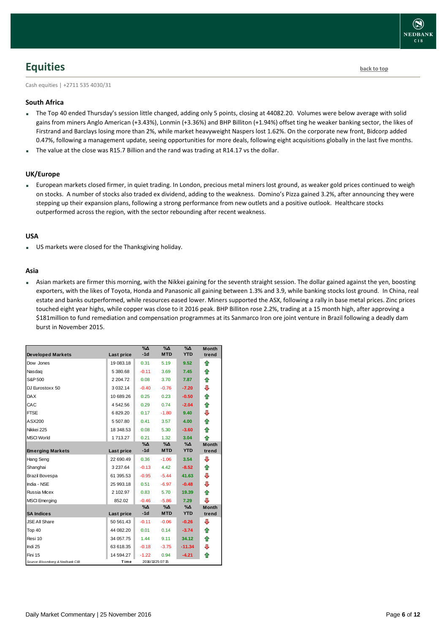

## <span id="page-5-0"></span>**Equities [back to top](#page-0-0)**

Cash equities | +2711 535 4030/31

#### **South Africa**

- The Top 40 ended Thursday's session little changed, adding only 5 points, closing at 44082.20. Volumes were below average with solid gains from miners Anglo American (+3.43%), Lonmin (+3.36%) and BHP Billiton (+1.94%) offset ting he weaker banking sector, the likes of Firstrand and Barclays losing more than 2%, while market heavyweight Naspers lost 1.62%. On the corporate new front, Bidcorp added 0.47%, following a management update, seeing opportunities for more deals, following eight acquisitions globally in the last five months.
- The value at the close was R15.7 Billion and the rand was trading at R14.17 vs the dollar.

#### **UK/Europe**

 European markets closed firmer, in quiet trading. In London, precious metal miners lost ground, as weaker gold prices continued to weigh on stocks. A number of stocks also traded ex dividend, adding to the weakness. Domino's Pizza gained 3.2%, after announcing they were stepping up their expansion plans, following a strong performance from new outlets and a positive outlook. Healthcare stocks outperformed across the region, with the sector rebounding after recent weakness.

#### **USA**

US markets were closed for the Thanksgiving holiday.

#### **Asia**

 Asian markets are firmer this morning, with the Nikkei gaining for the seventh straight session. The dollar gained against the yen, boosting exporters, with the likes of Toyota, Honda and Panasonic all gaining between 1.3% and 3.9, while banking stocks lost ground. In China, real estate and banks outperformed, while resources eased lower. Miners supported the ASX, following a rally in base metal prices. Zinc prices touched eight year highs, while copper was close to it 2016 peak. BHP Billiton rose 2.2%, trading at a 15 month high, after approving a \$181million to fund remediation and compensation programmes at its Sanmarco Iron ore joint venture in Brazil following a deadly dam burst in November 2015.

|                                 |               | $\%$ $\Delta$ | $\Delta_0$       | $\Delta_0$ | <b>Month</b> |
|---------------------------------|---------------|---------------|------------------|------------|--------------|
| <b>Developed Markets</b>        | Last price    | $-1d$         | <b>MTD</b>       | <b>YTD</b> | trend        |
| Dow Jones                       | 19 083.18     | 0.31          | 5.19             | 9.52       | ⇮            |
| Nasdag                          | 5 380.68      | $-0.11$       | 3.69             | 7.45       | ♠            |
| S&P 500                         | 2 204.72      | 0.08          | 3.70             | 7.87       | ⇑            |
| DJ Eurostoxx 50                 | 3 0 3 2.14    | $-0.40$       | $-0.76$          | $-7.20$    | ⊕            |
| <b>DAX</b>                      | 10 689.26     | 0.25          | 0.23             | $-0.50$    | ✿            |
| CAC                             | 4542.56       | 0.29          | 0.74             | $-2.04$    | 合            |
| <b>FTSE</b>                     | 6829.20       | 0.17          | $-1.80$          | 9.40       | ⊕            |
| ASX200                          | 5 507.80      | 0.41          | 3.57             | 4.00       | 合            |
| Nikkei 225                      | 18 348.53     | 0.08          | 5.30             | $-3.60$    | ⇑            |
| <b>MSCI World</b>               | 1 713.27      | 0.21          | 1.32             | 3.04       | 全            |
|                                 |               | $\% \Delta$   | %Δ               | %Δ         | <b>Month</b> |
| <b>Emerging Markets</b>         | Last price    | $-1d$         | <b>MTD</b>       | <b>YTD</b> | trend        |
| Hang Seng                       | 22 690.49     | 0.36          | $-1.06$          | 3.54       | ⊕            |
| Shanghai                        | 3 2 3 7 . 6 4 | $-0.13$       | 4.42             | $-8.52$    | ⇑            |
| Brazil Bovespa                  | 61 395.53     | $-0.95$       | $-5.44$          | 41.63      | ⊕            |
| India - NSE                     | 25 993.18     | 0.51          | $-6.97$          | $-0.48$    | ⇩            |
| Russia Micex                    | 2 102.97      | 0.83          | 5.70             | 19.39      | ⇑            |
| <b>MSCI</b> Emerging            | 852.02        | $-0.46$       | $-5.86$          | 7.29       | ⊕            |
|                                 |               | $\% \Delta$   | %Δ               | %Δ         | <b>Month</b> |
| <b>SA Indices</b>               | Last price    | $-1d$         | <b>MTD</b>       | <b>YTD</b> | trend        |
| <b>JSE All Share</b>            | 50 561.43     | $-0.11$       | $-0.06$          | $-0.26$    | ⊕            |
| Top 40                          | 44 082.20     | 0.01          | 0.14             | $-3.74$    | ⇑            |
| Resi 10                         | 34 057.75     | 1.44          | 9.11             | 34.12      | ⇮            |
| Indi 25                         | 63 618.35     | $-0.18$       | $-3.75$          | $-11.34$   | ⊕            |
| Fini 15                         | 14 594.27     | $-1.22$       | 0.94             | $-4.21$    | ♠            |
| Source: Bloomberg & Nedbank CIB | Time          |               | 2016/11/25 07:15 |            |              |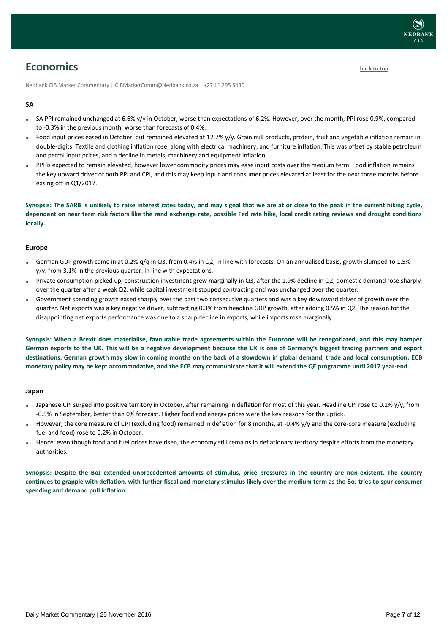## <span id="page-6-0"></span>**Economics [back to top](#page-0-0)**

Nedbank CIB Market Commentary | CIBMarketComm@Nedbank.co.za | +27 11 295 5430

#### **SA**

- SA PPI remained unchanged at 6.6% y/y in October, worse than expectations of 6.2%. However, over the month, PPI rose 0.9%, compared to -0.3% in the previous month, worse than forecasts of 0.4%.
- Food input prices eased in October, but remained elevated at 12.7% y/y. Grain mill products, protein, fruit and vegetable inflation remain in double-digits. Textile and clothing inflation rose, along with electrical machinery, and furniture inflation. This was offset by stable petroleum and petrol input prices, and a decline in metals, machinery and equipment inflation.
- PPI is expected to remain elevated, however lower commodity prices may ease input costs over the medium term. Food inflation remains the key upward driver of both PPI and CPI, and this may keep input and consumer prices elevated at least for the next three months before easing off in Q1/2017.

**Synopsis: The SARB is unlikely to raise interest rates today, and may signal that we are at or close to the peak in the current hiking cycle, dependent on near term risk factors like the rand exchange rate, possible Fed rate hike, local credit rating reviews and drought conditions locally.**

#### **Europe**

- German GDP growth came in at 0.2%  $q/q$  in Q3, from 0.4% in Q2, in line with forecasts. On an annualised basis, growth slumped to 1.5% y/y, from 3.1% in the previous quarter, in line with expectations.
- Private consumption picked up, construction investment grew marginally in Q3, after the 1.9% decline in Q2, domestic demand rose sharply over the quarter after a weak Q2, while capital investment stopped contracting and was unchanged over the quarter.
- Government spending growth eased sharply over the past two consecutive quarters and was a key downward driver of growth over the quarter. Net exports was a key negative driver, subtracting 0.3% from headline GDP growth, after adding 0.5% in Q2. The reason for the disappointing net exports performance was due to a sharp decline in exports, while imports rose marginally.

**Synopsis: When a Brexit does materialise, favourable trade agreements within the Eurozone will be renegotiated, and this may hamper German exports to the UK. This will be a negative development because the UK is one of Germany's biggest trading partners and export destinations. German growth may slow in coming months on the back of a slowdown in global demand, trade and local consumption. ECB monetary policy may be kept accommodative, and the ECB may communicate that it will extend the QE programme until 2017 year-end**

#### **Japan**

- Japanese CPI surged into positive territory in October, after remaining in deflation for most of this year. Headline CPI rose to 0.1% y/y, from -0.5% in September, better than 0% forecast. Higher food and energy prices were the key reasons for the uptick.
- However, the core measure of CPI (excluding food) remained in deflation for 8 months, at -0.4% y/y and the core-core measure (excluding fuel and food) rose to 0.2% in October.
- Hence, even though food and fuel prices have risen, the economy still remains in deflationary territory despite efforts from the monetary authorities.

**Synopsis: Despite the BoJ extended unprecedented amounts of stimulus, price pressures in the country are non-existent. The country continues to grapple with deflation, with further fiscal and monetary stimulus likely over the medium term as the BoJ tries to spur consumer spending and demand pull inflation.**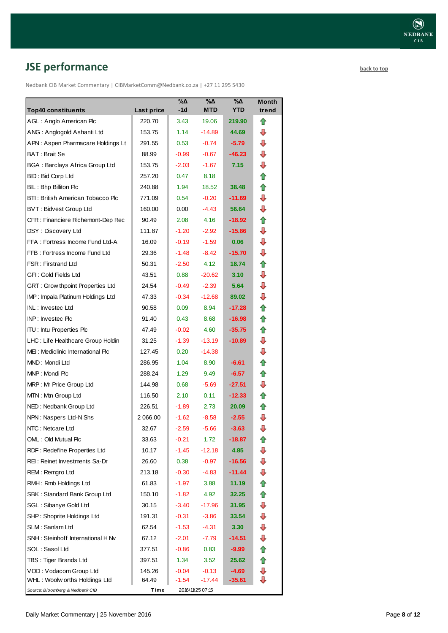# <span id="page-7-0"></span>**JSE performance [back to top](#page-0-0)**

Nedbank CIB Market Commentary | CIBMarketComm@Nedbank.co.za | +27 11 295 5430

| <b>Top40 constituents</b>             | Last price | %Δ<br>-1d | %Δ<br><b>MTD</b> | $\% \Delta$<br><b>YTD</b> | Month<br>trend |
|---------------------------------------|------------|-----------|------------------|---------------------------|----------------|
| AGL: Anglo American Plc               | 220.70     | 3.43      | 19.06            | 219.90                    | ⇑              |
| ANG: Anglogold Ashanti Ltd            | 153.75     | 1.14      | $-14.89$         | 44.69                     | ⊕              |
| APN: Aspen Pharmacare Holdings Lt     | 291.55     | 0.53      | $-0.74$          | $-5.79$                   | ⊕              |
| BAT: Brait Se                         | 88.99      | $-0.99$   | $-0.67$          | $-46.23$                  | ⊕              |
| <b>BGA: Barclays Africa Group Ltd</b> | 153.75     | $-2.03$   | $-1.67$          | 7.15                      | ⊕              |
| BID: Bid Corp Ltd                     | 257.20     | 0.47      | 8.18             |                           | ⇑              |
| BIL: Bhp Billiton Plc                 | 240.88     | 1.94      | 18.52            | 38.48                     | ⇑              |
| BTI: British American Tobacco Plc     | 771.09     | 0.54      | $-0.20$          | $-11.69$                  | ⊕              |
| BVT: Bidvest Group Ltd                | 160.00     | 0.00      | $-4.43$          | 56.64                     | ⇩              |
| CFR : Financiere Richemont-Dep Rec    | 90.49      | 2.08      | 4.16             | $-18.92$                  | ⇮              |
| DSY: Discovery Ltd                    | 111.87     | $-1.20$   | $-2.92$          | $-15.86$                  | ⊕              |
| FFA: Fortress Income Fund Ltd-A       | 16.09      | $-0.19$   | $-1.59$          | 0.06                      | ⇩              |
| FFB: Fortress Income Fund Ltd         | 29.36      | $-1.48$   | $-8.42$          | -15.70                    | ⇩              |
| <b>FSR: Firstrand Ltd</b>             | 50.31      | $-2.50$   | 4.12             | 18.74                     | ⇮              |
| GFI: Gold Fields Ltd                  | 43.51      | 0.88      | $-20.62$         | 3.10                      | ⇩              |
| GRT : Grow thpoint Properties Ltd     | 24.54      | $-0.49$   | $-2.39$          | 5.64                      | ⇩              |
| IMP: Impala Platinum Holdings Ltd     | 47.33      | $-0.34$   | $-12.68$         | 89.02                     | ⊕              |
| INL: Investec Ltd                     | 90.58      | 0.09      | 8.94             | -17.28                    | ⇑              |
| INP: Investec Plc                     | 91.40      | 0.43      | 8.68             | $-16.98$                  | ✿              |
| <b>ITU: Intu Properties Plc</b>       | 47.49      | $-0.02$   | 4.60             | $-35.75$                  | ⇑              |
| LHC: Life Healthcare Group Holdin     | 31.25      | $-1.39$   | $-13.19$         | $-10.89$                  | ⇩              |
| MEI: Mediclinic International Plc     | 127.45     | 0.20      | $-14.38$         |                           | ⊕              |
| MND: Mondi Ltd                        | 286.95     | 1.04      | 8.90             | $-6.61$                   | ⇑              |
| MNP: Mondi Plc                        | 288.24     | 1.29      | 9.49             | $-6.57$                   | ⇑              |
| MRP: Mr Price Group Ltd               | 144.98     | 0.68      | $-5.69$          | $-27.51$                  | ⇩              |
| MTN: Mtn Group Ltd                    | 116.50     | 2.10      | 0.11             | $-12.33$                  | ⇑              |
| NED: Nedbank Group Ltd                | 226.51     | $-1.89$   | 2.73             | 20.09                     | ⇑              |
| NPN: Naspers Ltd-N Shs                | 2 066.00   | $-1.62$   | $-8.58$          | $-2.55$                   | ⇩              |
| NTC: Netcare Ltd                      | 32.67      | $-2.59$   | $-5.66$          | $-3.63$                   | ⇩              |
| OML: Old Mutual Plc                   | 33.63      | $-0.21$   | 1.72             | $-18.87$                  | ⇑              |
| RDF: Redefine Properties Ltd          | 10.17      | $-1.45$   | $-12.18$         | 4.85                      | ⇩              |
| REI: Reinet Investments Sa-Dr         | 26.60      | 0.38      | $-0.97$          | $-16.56$                  | ⊕              |
| REM: Remgro Ltd                       | 213.18     | $-0.30$   | -4.83            | $-11.44$                  | ⊕              |
| RMH: Rmb Holdings Ltd                 | 61.83      | $-1.97$   | 3.88             | 11.19                     | ⇑              |
| SBK: Standard Bank Group Ltd          | 150.10     | $-1.82$   | 4.92             | 32.25                     | ⇑              |
| SGL : Sibanye Gold Ltd                | 30.15      | $-3.40$   | $-17.96$         | 31.95                     | ⊕              |
| SHP: Shoprite Holdings Ltd            | 191.31     | $-0.31$   | $-3.86$          | 33.54                     | ⇩              |
| SLM: Sanlam Ltd                       | 62.54      | $-1.53$   | -4.31            | 3.30                      | ⊕              |
| SNH: Steinhoff International H Nv     | 67.12      | $-2.01$   | -7.79            | $-14.51$                  | ⇩              |
| SOL: Sasol Ltd                        | 377.51     | $-0.86$   | 0.83             | $-9.99$                   | ✿              |
| TBS: Tiger Brands Ltd                 | 397.51     | 1.34      | 3.52             | 25.62                     | 合              |
| VOD: Vodacom Group Ltd                | 145.26     | $-0.04$   | $-0.13$          | $-4.69$                   | ⊕              |
| WHL: Woolw orths Holdings Ltd         | 64.49      | $-1.54$   | $-17.44$         | $-35.61$                  | ⇩              |
| Source: Bloomberg & Nedbank CIB       | Time       |           | 2016/11/25 07:15 |                           |                |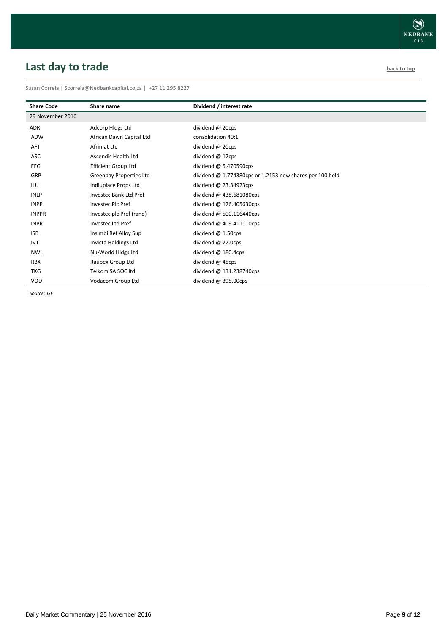# <span id="page-8-0"></span>**Last day to trade back to the contract of the contract of the contract of the contract of the contract of the contract of the contract of the contract of the contract of the contract of the contract of the contract of t**

Susan Correia | [Scorreia@Nedbankcapital.co.za](mailto:Scorreia@Nedbankcapital.co.za) | +27 11 295 8227

| <b>Share Code</b> | Share name                 | Dividend / interest rate                                   |
|-------------------|----------------------------|------------------------------------------------------------|
| 29 November 2016  |                            |                                                            |
| ADR               | Adcorp Hidgs Ltd           | dividend @ 20cps                                           |
| ADW               | African Dawn Capital Ltd   | consolidation 40:1                                         |
| <b>AFT</b>        | Afrimat Ltd                | dividend @ 20cps                                           |
| ASC               | Ascendis Health Ltd        | dividend @ 12cps                                           |
| <b>EFG</b>        | <b>Efficient Group Ltd</b> | dividend $@$ 5.470590cps                                   |
| GRP               | Greenbay Properties Ltd    | dividend $@$ 1.774380cps or 1.2153 new shares per 100 held |
| ILU               | Indluplace Props Ltd       | dividend $@$ 23.34923cps                                   |
| <b>INLP</b>       | Investec Bank Ltd Pref     | dividend $@$ 438.681080cps                                 |
| <b>INPP</b>       | Investec Plc Pref          | dividend @ 126.405630cps                                   |
| <b>INPPR</b>      | Investec plc Pref (rand)   | dividend @ 500.116440cps                                   |
| <b>INPR</b>       | Investec Ltd Pref          | dividend $@$ 409.411110cps                                 |
| <b>ISB</b>        | Insimbi Ref Alloy Sup      | dividend $@$ 1.50cps                                       |
| <b>IVT</b>        | Invicta Holdings Ltd       | dividend $@$ 72.0cps                                       |
| <b>NWL</b>        | Nu-World Hidgs Ltd         | dividend $@$ 180.4cps                                      |
| <b>RBX</b>        | Raubex Group Ltd           | dividend @ 45cps                                           |
| <b>TKG</b>        | Telkom SA SOC ltd          | dividend @ 131.238740cps                                   |
| <b>VOD</b>        | Vodacom Group Ltd          | dividend @ 395.00cps                                       |

*Source: JSE*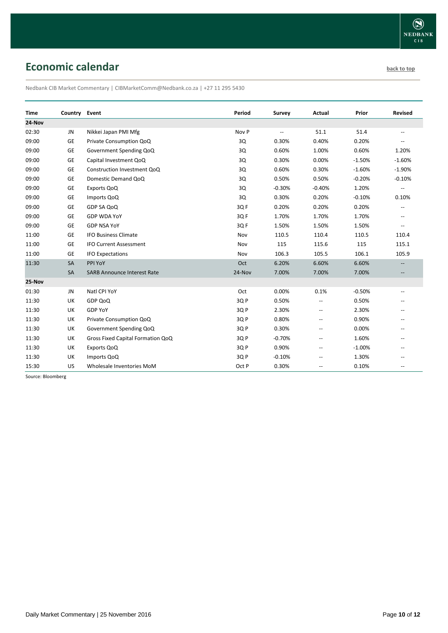# <span id="page-9-0"></span>**Economic calendar [back to top](#page-0-0) back to top back to top**

Nedbank CIB Market Commentary | CIBMarketComm@Nedbank.co.za | +27 11 295 5430

| <b>Time</b> | Country Event |                                    | Period | Survey                   | Actual                   | Prior    | <b>Revised</b>           |
|-------------|---------------|------------------------------------|--------|--------------------------|--------------------------|----------|--------------------------|
| 24-Nov      |               |                                    |        |                          |                          |          |                          |
| 02:30       | JN            | Nikkei Japan PMI Mfg               | Nov P  | $\overline{\phantom{a}}$ | 51.1                     | 51.4     | $\overline{\phantom{a}}$ |
| 09:00       | GE            | Private Consumption QoQ            | 3Q     | 0.30%                    | 0.40%                    | 0.20%    |                          |
| 09:00       | GE            | Government Spending QoQ            | 3Q     | 0.60%                    | 1.00%                    | 0.60%    | 1.20%                    |
| 09:00       | GE            | Capital Investment QoQ             | 3Q     | 0.30%                    | 0.00%                    | $-1.50%$ | $-1.60%$                 |
| 09:00       | GE            | Construction Investment QoQ        | 3Q     | 0.60%                    | 0.30%                    | $-1.60%$ | $-1.90%$                 |
| 09:00       | GE            | Domestic Demand QoQ                | 3Q     | 0.50%                    | 0.50%                    | $-0.20%$ | $-0.10%$                 |
| 09:00       | GE            | Exports QoQ                        | 3Q     | $-0.30%$                 | $-0.40%$                 | 1.20%    | $\overline{\phantom{a}}$ |
| 09:00       | GE            | Imports QoQ                        | 3Q     | 0.30%                    | 0.20%                    | $-0.10%$ | 0.10%                    |
| 09:00       | GE            | GDP SA QoQ                         | 3QF    | 0.20%                    | 0.20%                    | 0.20%    | $\overline{\phantom{a}}$ |
| 09:00       | GE            | <b>GDP WDA YoY</b>                 | 3QF    | 1.70%                    | 1.70%                    | 1.70%    | $-1$                     |
| 09:00       | <b>GE</b>     | <b>GDP NSA YoY</b>                 | 3QF    | 1.50%                    | 1.50%                    | 1.50%    | $\overline{\phantom{a}}$ |
| 11:00       | GE            | <b>IFO Business Climate</b>        | Nov    | 110.5                    | 110.4                    | 110.5    | 110.4                    |
| 11:00       | GE            | <b>IFO Current Assessment</b>      | Nov    | 115                      | 115.6                    | 115      | 115.1                    |
| 11:00       | GE            | <b>IFO Expectations</b>            | Nov    | 106.3                    | 105.5                    | 106.1    | 105.9                    |
| 11:30       | SA            | PPI YoY                            | Oct    | 6.20%                    | 6.60%                    | 6.60%    |                          |
|             | SA            | <b>SARB Announce Interest Rate</b> | 24-Nov | 7.00%                    | 7.00%                    | 7.00%    | $\overline{\phantom{a}}$ |
| 25-Nov      |               |                                    |        |                          |                          |          |                          |
| 01:30       | JN            | Natl CPI YoY                       | Oct    | 0.00%                    | 0.1%                     | $-0.50%$ | $\overline{a}$           |
| 11:30       | UK            | GDP QoQ                            | 3QP    | 0.50%                    | $\overline{\phantom{a}}$ | 0.50%    |                          |
| 11:30       | UK            | <b>GDP YoY</b>                     | 3QP    | 2.30%                    | $\overline{\phantom{a}}$ | 2.30%    | $-$                      |
| 11:30       | UK            | Private Consumption QoQ            | 3QP    | 0.80%                    | $\overline{\phantom{a}}$ | 0.90%    | --                       |
| 11:30       | UK            | Government Spending QoQ            | 3QP    | 0.30%                    | $\overline{\phantom{a}}$ | 0.00%    |                          |
| 11:30       | UK            | Gross Fixed Capital Formation QoQ  | 3QP    | $-0.70%$                 | --                       | 1.60%    |                          |
| 11:30       | UK            | Exports QoQ                        | 3QP    | 0.90%                    | --                       | $-1.00%$ |                          |
| 11:30       | UK            | Imports QoQ                        | 3QP    | $-0.10%$                 | $\overline{a}$           | 1.30%    |                          |
| 15:30       | US            | Wholesale Inventories MoM          | Oct P  | 0.30%                    | --                       | 0.10%    | --                       |

Source: Bloomberg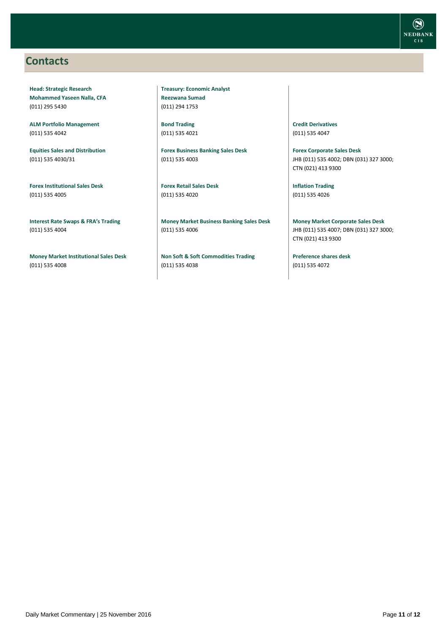### <span id="page-10-0"></span>**Contacts**

**Head: Strategic Research Mohammed Yaseen Nalla, CFA** (011) 295 5430

**ALM Portfolio Management** (011) 535 4042

**Equities Sales and Distribution** (011) 535 4030/31

**Forex Institutional Sales Desk** (011) 535 4005

**Interest Rate Swaps & FRA's Trading** (011) 535 4004

**Money Market Institutional Sales Desk** (011) 535 4008

**Treasury: Economic Analyst Reezwana Sumad** (011) 294 1753

**Bond Trading** (011) 535 4021

**Forex Business Banking Sales Desk** (011) 535 4003

**Forex Retail Sales Desk** (011) 535 4020

**Money Market Business Banking Sales Desk** (011) 535 4006

**Non Soft & Soft Commodities Trading** (011) 535 4038

**Credit Derivatives**  (011) 535 4047

**Forex Corporate Sales Desk** JHB (011) 535 4002; DBN (031) 327 3000; CTN (021) 413 9300

**Inflation Trading** (011) 535 4026

**Money Market Corporate Sales Desk** JHB (011) 535 4007; DBN (031) 327 3000; CTN (021) 413 9300

**Preference shares desk** (011) 535 4072